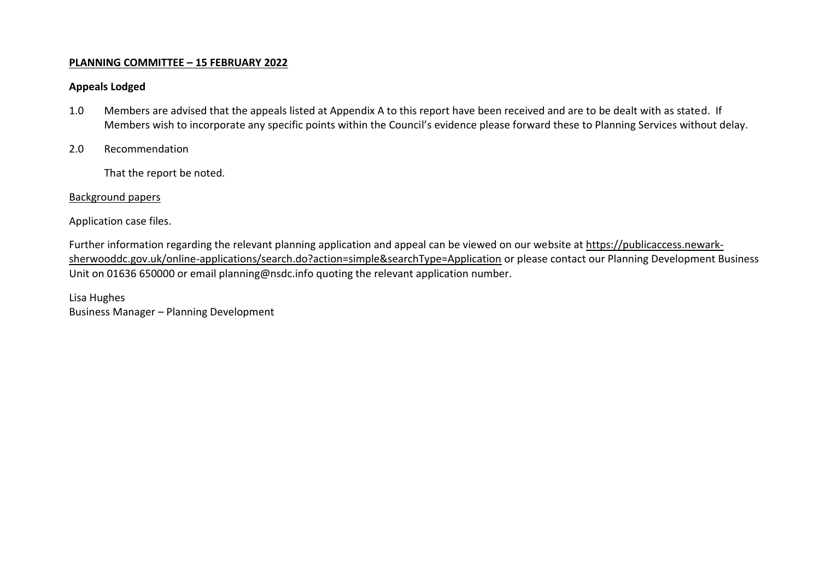# **PLANNING COMMITTEE – 15 FEBRUARY 2022**

# **Appeals Lodged**

- 1.0 Members are advised that the appeals listed at Appendix A to this report have been received and are to be dealt with as stated. If Members wish to incorporate any specific points within the Council's evidence please forward these to Planning Services without delay.
- 2.0 Recommendation

That the report be noted.

# Background papers

Application case files.

Further information regarding the relevant planning application and appeal can be viewed on our website at [https://publicaccess.newark](https://publicaccess.newark-sherwooddc.gov.uk/online-applications/search.do?action=simple&searchType=Application)[sherwooddc.gov.uk/online-applications/search.do?action=simple&searchType=Application](https://publicaccess.newark-sherwooddc.gov.uk/online-applications/search.do?action=simple&searchType=Application) or please contact our Planning Development Business Unit on 01636 650000 or email planning@nsdc.info quoting the relevant application number.

Lisa Hughes Business Manager – Planning Development